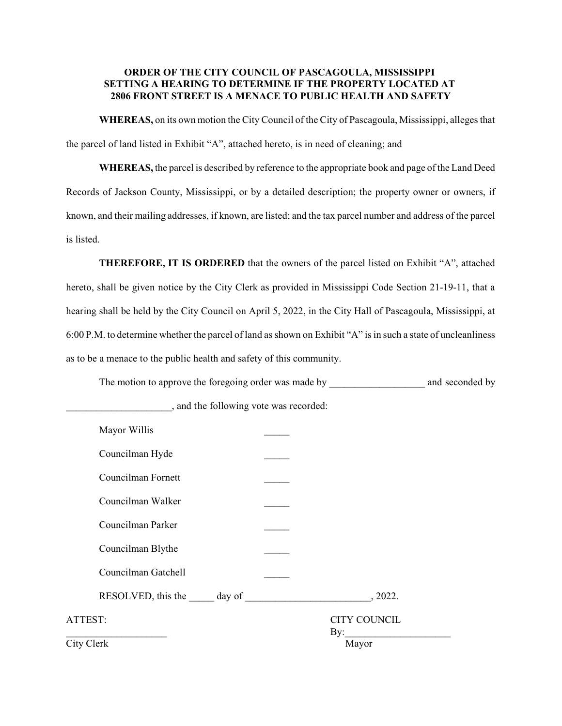# **ORDER OF THE CITY COUNCIL OF PASCAGOULA, MISSISSIPPI SETTING A HEARING TO DETERMINE IF THE PROPERTY LOCATED AT 2806 FRONT STREET IS A MENACE TO PUBLIC HEALTH AND SAFETY**

**WHEREAS,** on its own motion the City Council of the City of Pascagoula, Mississippi, alleges that the parcel of land listed in Exhibit "A", attached hereto, is in need of cleaning; and

**WHEREAS,** the parcel is described by reference to the appropriate book and page of the Land Deed Records of Jackson County, Mississippi, or by a detailed description; the property owner or owners, if known, and their mailing addresses, if known, are listed; and the tax parcel number and address of the parcel is listed.

**THEREFORE, IT IS ORDERED** that the owners of the parcel listed on Exhibit "A", attached hereto, shall be given notice by the City Clerk as provided in Mississippi Code Section 21-19-11, that a hearing shall be held by the City Council on April 5, 2022, in the City Hall of Pascagoula, Mississippi, at 6:00 P.M. to determine whether the parcel of land as shown on Exhibit "A" is in such a state of uncleanliness as to be a menace to the public health and safety of this community.

The motion to approve the foregoing order was made by \_\_\_\_\_\_\_\_\_\_\_\_\_\_\_\_\_\_\_\_\_\_\_\_\_\_ and seconded by

| Mayor Willis        |                            |
|---------------------|----------------------------|
| Councilman Hyde     |                            |
| Councilman Fornett  |                            |
| Councilman Walker   |                            |
| Councilman Parker   |                            |
| Councilman Blythe   |                            |
| Councilman Gatchell |                            |
|                     | , 2022.                    |
| ATTEST:             | <b>CITY COUNCIL</b><br>By: |
| City Clerk          | Mayor                      |

\_\_\_\_\_\_\_\_\_\_\_\_\_\_\_\_\_\_\_\_\_, and the following vote was recorded: